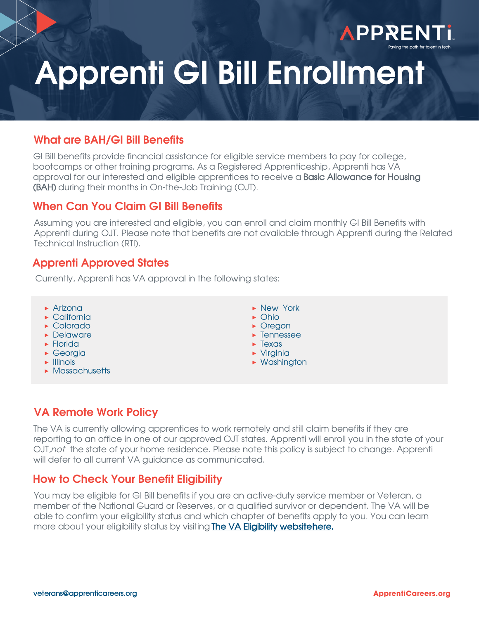

## What are BAH/GI Bill Benefits

GI Bill benefits provide financial assistance for eligible service members to pay for college, bootcamps or other training programs. As a Registered Apprenticeship, Apprenti has VA approval for our interested and eligible apprentices to receive a **Basic Allowance for Housing** (BAH) during their months in On-the-Job Training (OJT).

### When Can You Claim GI Bill Benefits

Assuming you are interested and eligible, you can enroll and claim monthly GI Bill Benefits with Apprenti during OJT. Please note that benefits are not available through Apprenti during the Related Technical Instruction (RTI).

### Apprenti Approved States

Currently, Apprenti has VA approval in the following states:

- **▶** Arizona
- **▶** California
- **▶** Colorado
- **▶** Delaware
- **▶** Florida
- **▶** Georgia
- **▶** Illinois
- **▶** Massachusetts
- **▶** New York
- **▶** Ohio
- **▶** Oregon
- **▶** Tennessee
- **▶** Texas **▶** Virginia
- **▶** Washington

## VA Remote Work Policy

The VA is currently allowing apprentices to work remotely and still claim benefits if they are reporting to an office in one of our approved OJT states. Apprenti will enroll you in the state of your OJT, not the state of your home residence. Please note this policy is subject to change. Apprenti will defer to all current VA guidance as communicated.

## How to Check Your Benefit Eligibility

You may be eligible for GI Bill benefits if you are an active-duty service member or Veteran, a member of the National Guard or Reserves, or a qualified survivor or dependent. The VA will be able to confirm your eligibility status and [which chapter of benefits apply](https://www.va.gov/education/eligibility/) to you. You can learn more about your eligibility status by visiting **The VA Eligibility websitehere.**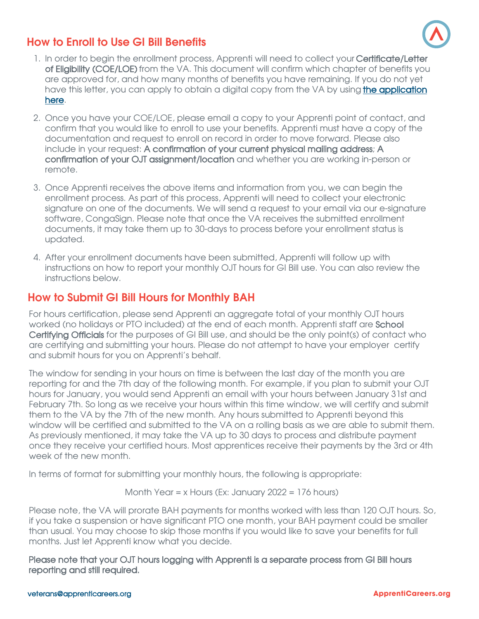# How to Enroll to Use GI Bill Benefits



- 1. In order to begin the enrollment process, Apprenti will need to collect your Certificate/Letter of Eligibility (COE/LOE) from the VA. This document will confirm which chapter of benefits you are approved for, and how many months of benefits you have remaining. If you do not yet have [this letter, you can apply to obtain a digital copy from the VA by using](https://www.va.gov/education/how-to-apply/) the application here.
- 2. Once you have your COE/LOE, please email a copy to your Apprenti point of contact, and confirm that you would like to enroll to use your benefits. Apprenti must have a copy of the documentation and request to enroll on record in order to move forward. Please also include in your request: A confirmation of your current physical mailing address; A confirmation of your OJT assignment/location and whether you are working in-person or remote.
- 3. Once Apprenti receives the above items and information from you, we can begin the enrollment process. As part of this process, Apprenti will need to collect your electronic signature on one of the documents. We will send a request to your email via our e-signature software, CongaSign. Please note that once the VA receives the submitted enrollment documents, it may take them up to 30-days to process before your enrollment status is updated.
- 4. After your enrollment documents have been submitted, Apprenti will follow up with instructions on how to report your monthly OJT hours for GI Bill use. You can also review the instructions below.

# How to Submit GI Bill Hours for Monthly BAH

For hours certification, please send Apprenti an aggregate total of your monthly OJT hours worked (no holidays or PTO included) at the end of each month. Apprenti staff are School Certifying Officials for the purposes of GI Bill use, and should be the only point(s) of contact who are certifying and submitting your hours. Please do not attempt to have your employer certify and submit hours for you on Apprenti's behalf.

The window for sending in your hours on time is between the last day of the month you are reporting for and the 7th day of the following month. For example, if you plan to submit your OJT hours for January, you would send Apprenti an email with your hours between January 31st and February 7th. So long as we receive your hours within this time window, we will certify and submit them to the VA by the 7th of the new month. Any hours submitted to Apprenti beyond this window will be certified and submitted to the VA on a rolling basis as we are able to submit them. As previously mentioned, it may take the VA up to 30 days to process and distribute payment once they receive your certified hours. Most apprentices receive their payments by the 3rd or 4th week of the new month.

In terms of format for submitting your monthly hours, the following is appropriate:

Month Year = x Hours (Ex: January 2022 = 176 hours)

Please note, the VA will prorate BAH payments for months worked with less than 120 OJT hours. So, if you take a suspension or have significant PTO one month, your BAH payment could be smaller than usual. You may choose to skip those months if you would like to save your benefits for full months. Just let Apprenti know what you decide.

Please note that your OJT hours logging with Apprenti is a separate process from GI Bill hours reporting and still required.

#### <veterans@apprenticareers.org>